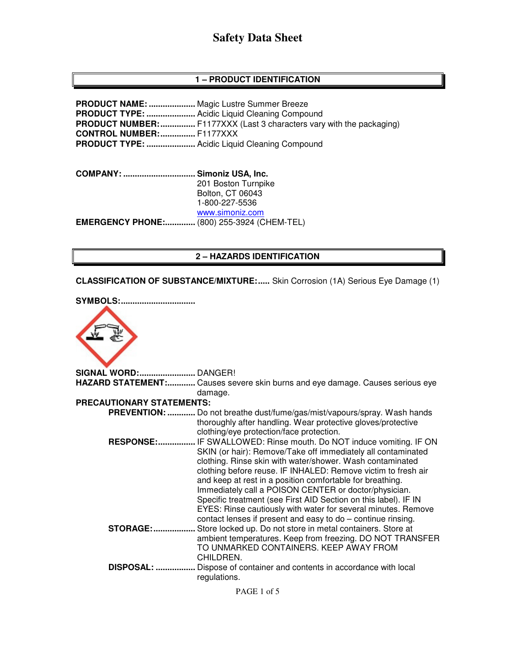# **1 – PRODUCT IDENTIFICATION**

**PRODUCT NAME: ....................** Magic Lustre Summer Breeze **PRODUCT TYPE: .....................** Acidic Liquid Cleaning Compound **PRODUCT NUMBER: ................** F1177XXX (Last 3 characters vary with the packaging) **CONTROL NUMBER: ...............** F1177XXX **PRODUCT TYPE: .....................** Acidic Liquid Cleaning Compound

**COMPANY: ............................... Simoniz USA, Inc.** 201 Boston Turnpike Bolton, CT 06043 1-800-227-5536 www.simoniz.com **EMERGENCY PHONE:.............** (800) 255-3924 (CHEM-TEL)

## **2 – HAZARDS IDENTIFICATION**

**CLASSIFICATION OF SUBSTANCE/MIXTURE: .....** Skin Corrosion (1A) Serious Eye Damage (1)



**SIGNAL WORD: ........................** DANGER! **HAZARD STATEMENT: ............** Causes severe skin burns and eye damage. Causes serious eye damage. **PRECAUTIONARY STATEMENTS: PREVENTION: ............** Do not breathe dust/fume/gas/mist/vapours/spray. Wash hands thoroughly after handling. Wear protective gloves/protective clothing/eye protection/face protection.  **RESPONSE: ................** IF SWALLOWED: Rinse mouth. Do NOT induce vomiting. IF ON SKIN (or hair): Remove/Take off immediately all contaminated clothing. Rinse skin with water/shower. Wash contaminated clothing before reuse. IF INHALED: Remove victim to fresh air and keep at rest in a position comfortable for breathing. Immediately call a POISON CENTER or doctor/physician. Specific treatment (see First AID Section on this label). IF IN EYES: Rinse cautiously with water for several minutes. Remove contact lenses if present and easy to do – continue rinsing. **STORAGE: ..................** Store locked up. Do not store in metal containers. Store at ambient temperatures. Keep from freezing. DO NOT TRANSFER TO UNMARKED CONTAINERS. KEEP AWAY FROM CHILDREN.  **DISPOSAL: .................** Dispose of container and contents in accordance with local regulations.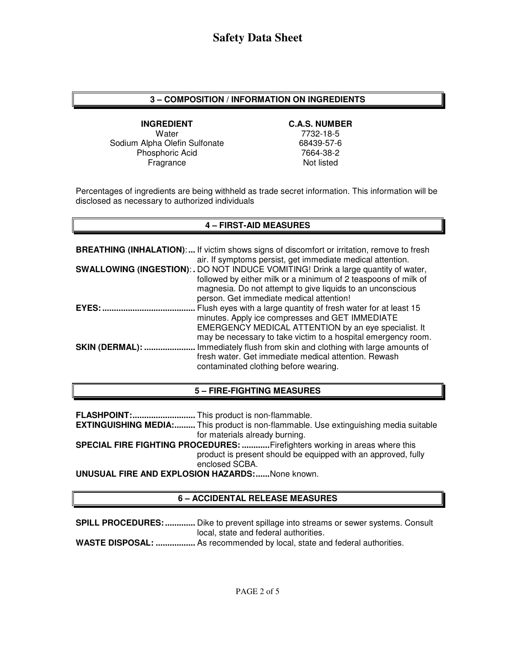# **3 – COMPOSITION / INFORMATION ON INGREDIENTS**

**INGREDIENT C.A.S. NUMBER**  Water 7732-18-5<br>
12-75-68439 Ma Olefin Sulfonate Sodium Alpha Olefin Sulfonate Phosphoric Acid Fragrance

7664-38-2 Not listed

Percentages of ingredients are being withheld as trade secret information. This information will be disclosed as necessary to authorized individuals

### **4 – FIRST-AID MEASURES**

|                        | <b>BREATHING (INHALATION):</b> If victim shows signs of discomfort or irritation, remove to fresh<br>air. If symptoms persist, get immediate medical attention.                                                                                                |
|------------------------|----------------------------------------------------------------------------------------------------------------------------------------------------------------------------------------------------------------------------------------------------------------|
|                        | SWALLOWING (INGESTION): . DO NOT INDUCE VOMITING! Drink a large quantity of water,<br>followed by either milk or a minimum of 2 teaspoons of milk of<br>magnesia. Do not attempt to give liquids to an unconscious<br>person. Get immediate medical attention! |
| EYES:                  | Flush eyes with a large quantity of fresh water for at least 15<br>minutes. Apply ice compresses and GET IMMEDIATE<br>EMERGENCY MEDICAL ATTENTION by an eye specialist. It<br>may be necessary to take victim to a hospital emergency room.                    |
| <b>SKIN (DERMAL): </b> | Immediately flush from skin and clothing with large amounts of<br>fresh water. Get immediate medical attention. Rewash<br>contaminated clothing before wearing.                                                                                                |

### **5 – FIRE-FIGHTING MEASURES**

**FLASHPOINT: ...........................** This product is non-flammable.

**EXTINGUISHING MEDIA: .........** This product is non-flammable. Use extinguishing media suitable for materials already burning.

**SPECIAL FIRE FIGHTING PROCEDURES: ............** Firefighters working in areas where this product is present should be equipped with an approved, fully enclosed SCBA.

**UNUSUAL FIRE AND EXPLOSION HAZARDS: ......** None known.

# **6 – ACCIDENTAL RELEASE MEASURES**

**SPILL PROCEDURES: .............** Dike to prevent spillage into streams or sewer systems. Consult local, state and federal authorities. **WASTE DISPOSAL: .................** As recommended by local, state and federal authorities.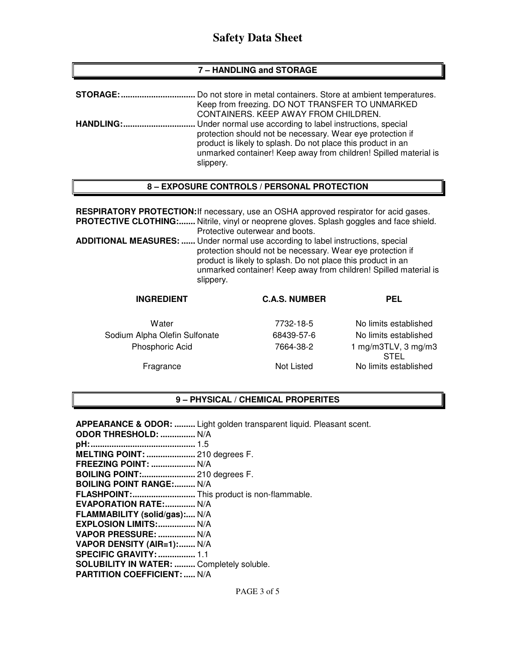# **Safety Data Sheet**

#### **7 – HANDLING and STORAGE**

| <b>STORAGE:</b>  | Do not store in metal containers. Store at ambient temperatures.                                                                                                                                                                                                         |
|------------------|--------------------------------------------------------------------------------------------------------------------------------------------------------------------------------------------------------------------------------------------------------------------------|
|                  | Keep from freezing. DO NOT TRANSFER TO UNMARKED<br>CONTAINERS. KEEP AWAY FROM CHILDREN.                                                                                                                                                                                  |
| <b>HANDLING:</b> | Under normal use according to label instructions, special<br>protection should not be necessary. Wear eye protection if<br>product is likely to splash. Do not place this product in an<br>unmarked container! Keep away from children! Spilled material is<br>slippery. |

#### **8 – EXPOSURE CONTROLS / PERSONAL PROTECTION**

**RESPIRATORY PROTECTION:** If necessary, use an OSHA approved respirator for acid gases. **PROTECTIVE CLOTHING:.......** Nitrile, vinyl or neoprene gloves. Splash goggles and face shield. Protective outerwear and boots. **ADDITIONAL MEASURES: ......** Under normal use according to label instructions, special protection should not be necessary. Wear eye protection if product is likely to splash. Do not place this product in an unmarked container! Keep away from children! Spilled material is

| <b>INGREDIENT</b>             | <b>C.A.S. NUMBER</b> | <b>PEL</b>                         |
|-------------------------------|----------------------|------------------------------------|
| Water                         | 7732-18-5            | No limits established              |
| Sodium Alpha Olefin Sulfonate | 68439-57-6           | No limits established              |
| Phosphoric Acid               | 7664-38-2            | 1 mg/m3TLV, 3 mg/m3<br><b>STEL</b> |
| Fragrance                     | Not Listed           | No limits established              |

### **9 – PHYSICAL / CHEMICAL PROPERITES**

**APPEARANCE & ODOR: .........** Light golden transparent liquid. Pleasant scent. **ODOR THRESHOLD: ...............** N/A **pH: .............................................** 1.5 **MELTING POINT: .....................** 210 degrees F. **FREEZING POINT: ...................** N/A **BOILING POINT:.......................** 210 degrees F. **BOILING POINT RANGE:......... N/A FLASHPOINT: ...........................** This product is non-flammable. **EVAPORATION RATE: .............** N/A **FLAMMABILITY (solid/gas):....** N/A **EXPLOSION LIMITS: ................** N/A **VAPOR PRESSURE: ................** N/A **VAPOR DENSITY (AIR=1): .......** N/A **SPECIFIC GRAVITY: ................** 1.1 **SOLUBILITY IN WATER: .........** Completely soluble. **PARTITION COEFFICIENT: .....** N/A

slippery.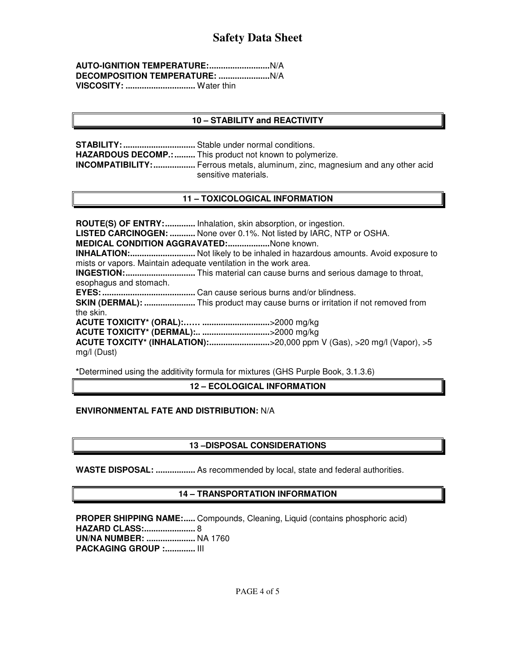| VISCOSITY:  Water thin |  |
|------------------------|--|

# **10 – STABILITY and REACTIVITY**

**STABILITY: ...............................** Stable under normal conditions. **HAZARDOUS DECOMP.: .........** This product not known to polymerize. **INCOMPATIBILITY: ..................** Ferrous metals, aluminum, zinc, magnesium and any other acid sensitive materials.

# **11 – TOXICOLOGICAL INFORMATION**

**ROUTE(S) OF ENTRY: .............** Inhalation, skin absorption, or ingestion. **LISTED CARCINOGEN: ...........** None over 0.1%. Not listed by IARC, NTP or OSHA. **MEDICAL CONDITION AGGRAVATED: ..................** None known. **INHALATION: ............................** Not likely to be inhaled in hazardous amounts. Avoid exposure to mists or vapors. Maintain adequate ventilation in the work area. **INGESTION: ..............................** This material can cause burns and serious damage to throat, esophagus and stomach. **EYES: ........................................** Can cause serious burns and/or blindness. **SKIN (DERMAL): ......................** This product may cause burns or irritation if not removed from the skin. **ACUTE TOXICITY\* (ORAL):…… .............................** >2000 mg/kg **ACUTE TOXICITY\* (DERMAL):.. .............................** >2000 mg/kg **ACUTE TOXCITY\* (INHALATION):...............................>20,000 ppm V (Gas), >20 mg/l (Vapor), >5** mg/l (Dust)

**\***Determined using the additivity formula for mixtures (GHS Purple Book, 3.1.3.6)

**12 – ECOLOGICAL INFORMATION** 

### **ENVIRONMENTAL FATE AND DISTRIBUTION:** N/A

### **13 –DISPOSAL CONSIDERATIONS**

**WASTE DISPOSAL: .................** As recommended by local, state and federal authorities.

### **14 – TRANSPORTATION INFORMATION**

PROPER SHIPPING NAME:..... Compounds, Cleaning, Liquid (contains phosphoric acid) **HAZARD CLASS: ......................** 8 **UN/NA NUMBER: .....................** NA 1760 **PACKAGING GROUP :.............. III**